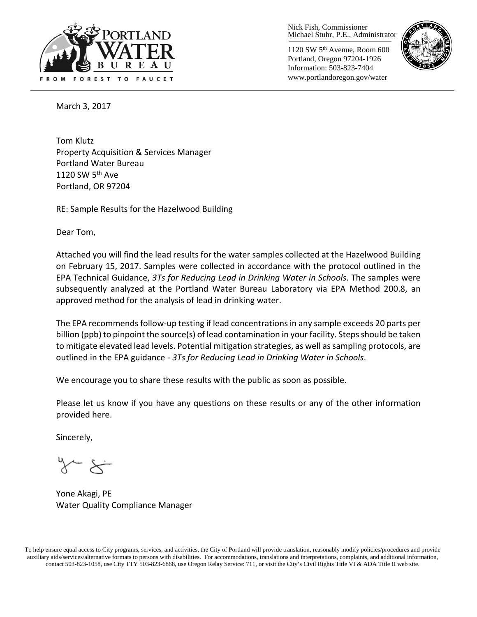

Nick Fish, Commissioner Michael Stuhr, P.E., Administrator

1120 SW 5th Avenue, Room 600 Portland, Oregon 97204-1926 Information: 503-823-7404 www.portlandoregon.gov/water



March 3, 2017

Tom Klutz Property Acquisition & Services Manager Portland Water Bureau 1120 SW  $5<sup>th</sup>$  Ave Portland, OR 97204

RE: Sample Results for the Hazelwood Building

Dear Tom,

Attached you will find the lead results for the water samples collected at the Hazelwood Building on February 15, 2017. Samples were collected in accordance with the protocol outlined in the EPA Technical Guidance, *3Ts for Reducing Lead in Drinking Water in Schools*. The samples were subsequently analyzed at the Portland Water Bureau Laboratory via EPA Method 200.8, an approved method for the analysis of lead in drinking water.

The EPA recommends follow-up testing if lead concentrations in any sample exceeds 20 parts per billion (ppb) to pinpoint the source(s) of lead contamination in your facility. Steps should be taken to mitigate elevated lead levels. Potential mitigation strategies, as well as sampling protocols, are outlined in the EPA guidance - *3Ts for Reducing Lead in Drinking Water in Schools*.

We encourage you to share these results with the public as soon as possible.

Please let us know if you have any questions on these results or any of the other information provided here.

Sincerely,

Yone Akagi, PE Water Quality Compliance Manager

To help ensure equal access to City programs, services, and activities, the City of Portland will provide translation, reasonably modify policies/procedures and provide auxiliary aids/services/alternative formats to persons with disabilities. For accommodations, translations and interpretations, complaints, and additional information, contact 503-823-1058, use City TTY 503-823-6868, use Oregon Relay Service: 711, or visi[t the City's Civil Rights Title VI & ADA Title II web site.](http://www.portlandoregon.gov/oehr/66458)